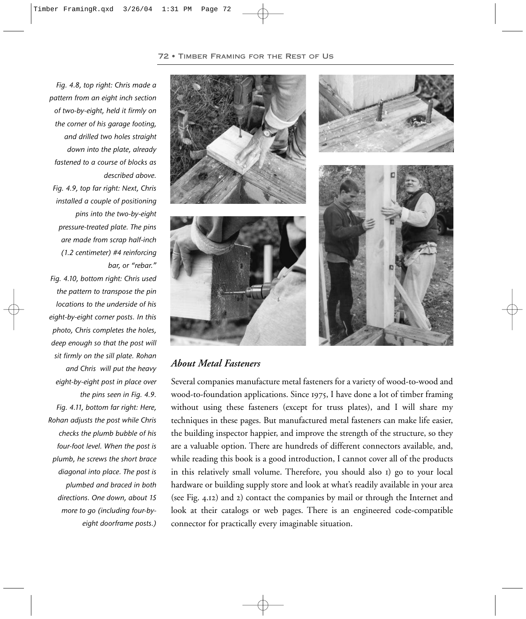

## *About Metal Fasteners*

Several companies manufacture metal fasteners for a variety of wood-to-wood and wood-to-foundation applications. Since 1975, I have done a lot of timber framing without using these fasteners (except for truss plates), and I will share my techniques in these pages. But manufactured metal fasteners can make life easier, the building inspector happier, and improve the strength of the structure, so they are a valuable option. There are hundreds of different connectors available, and, while reading this book is a good introduction, I cannot cover all of the products in this relatively small volume. Therefore, you should also I) go to your local hardware or building supply store and look at what's readily available in your area (see Fig. 4.12) and 2) contact the companies by mail or through the Internet and look at their catalogs or web pages. There is an engineered code-compatible connector for practically every imaginable situation.

*pattern from an eight inch section of two-by-eight, held it firmly on the corner of his garage footing, and drilled two holes straight down into the plate, already fastened to a course of blocks as described above. Fig. 4.9, top far right: Next, Chris installed a couple of positioning pins into the two-by-eight pressure-treated plate. The pins are made from scrap half-inch (1.2 centimeter) #4 reinforcing bar, or "rebar." Fig. 4.10, bottom right: Chris used the pattern to transpose the pin locations to the underside of his eight-by-eight corner posts. In this photo, Chris completes the holes, deep enough so that the post will sit firmly on the sill plate. Rohan and Chris will put the heavy eight-by-eight post in place over the pins seen in Fig. 4.9. Fig. 4.11, bottom far right: Here, Rohan adjusts the post while Chris checks the plumb bubble of his four-foot level. When the post is plumb, he screws the short brace diagonal into place. The post is plumbed and braced in both directions. One down, about 15 more to go (including four-byeight doorframe posts.)*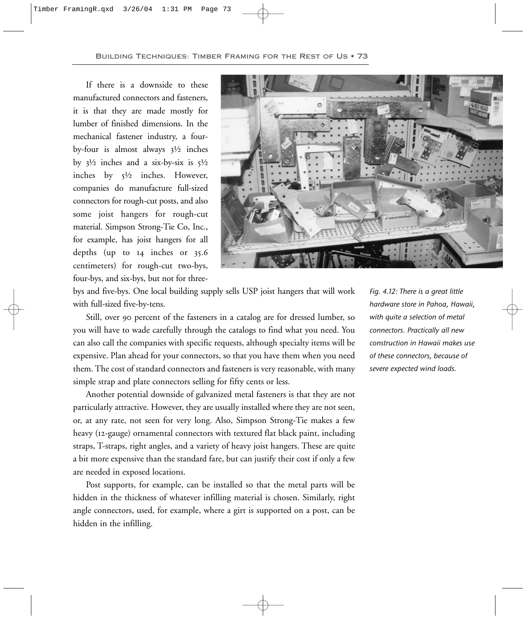If there is a downside to these manufactured connectors and fasteners, it is that they are made mostly for lumber of finished dimensions. In the mechanical fastener industry, a fourby-four is almost always  $3\frac{1}{2}$  inches by  $3\frac{1}{2}$  inches and a six-by-six is  $5\frac{1}{2}$ inches by ½ inches. However, companies do manufacture full-sized connectors for rough-cut posts, and also some joist hangers for rough-cut material. Simpson Strong-Tie Co, Inc., for example, has joist hangers for all depths (up to 14 inches or 35.6 centimeters) for rough-cut two-bys, four-bys, and six-bys, but not for three-



bys and five-bys. One local building supply sells USP joist hangers that will work with full-sized five-by-tens.

Still, over 90 percent of the fasteners in a catalog are for dressed lumber, so you will have to wade carefully through the catalogs to find what you need. You can also call the companies with specific requests, although specialty items will be expensive. Plan ahead for your connectors, so that you have them when you need them. The cost of standard connectors and fasteners is very reasonable, with many simple strap and plate connectors selling for fifty cents or less.

Another potential downside of galvanized metal fasteners is that they are not particularly attractive. However, they are usually installed where they are not seen, or, at any rate, not seen for very long. Also, Simpson Strong-Tie makes a few heavy (12-gauge) ornamental connectors with textured flat black paint, including straps, T-straps, right angles, and a variety of heavy joist hangers. These are quite a bit more expensive than the standard fare, but can justify their cost if only a few are needed in exposed locations.

Post supports, for example, can be installed so that the metal parts will be hidden in the thickness of whatever infilling material is chosen. Similarly, right angle connectors, used, for example, where a girt is supported on a post, can be hidden in the infilling.

*Fig. 4.12: There is a great little hardware store in Pahoa, Hawaii, with quite a selection of metal connectors. Practically all new construction in Hawaii makes use of these connectors, because of severe expected wind loads.*